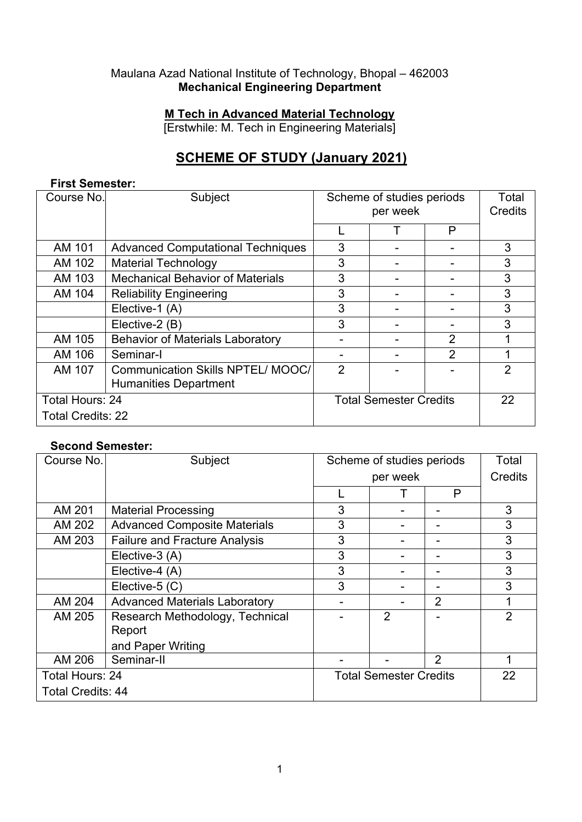#### Maulana Azad National Institute of Technology, Bhopal – 462003 **Mechanical Engineering Department**

#### **M Tech in Advanced Material Technology**

[Erstwhile: M. Tech in Engineering Materials]

# **SCHEME OF STUDY (January 2021)**

#### **First Semester:**

| Course No.               | Subject                                  | Scheme of studies periods<br>per week |  | Total<br>Credits |                |
|--------------------------|------------------------------------------|---------------------------------------|--|------------------|----------------|
|                          |                                          |                                       |  | P                |                |
| AM 101                   | <b>Advanced Computational Techniques</b> | 3                                     |  |                  | 3              |
| AM 102                   | <b>Material Technology</b>               | 3                                     |  |                  | 3              |
| AM 103                   | <b>Mechanical Behavior of Materials</b>  | 3                                     |  |                  | 3              |
| AM 104                   | <b>Reliability Engineering</b>           | 3                                     |  |                  | 3              |
|                          | Elective-1 (A)                           | 3                                     |  |                  | 3              |
|                          | Elective-2 (B)                           | 3                                     |  |                  | 3              |
| AM 105                   | <b>Behavior of Materials Laboratory</b>  |                                       |  | $\overline{2}$   |                |
| AM 106                   | Seminar-I                                |                                       |  | $\overline{2}$   |                |
| AM 107                   | Communication Skills NPTEL/MOOC/         | 2                                     |  |                  | $\overline{2}$ |
|                          | <b>Humanities Department</b>             |                                       |  |                  |                |
| Total Hours: 24          |                                          | <b>Total Semester Credits</b>         |  |                  | 22             |
| <b>Total Credits: 22</b> |                                          |                                       |  |                  |                |

#### **Second Semester:**

| Course No.               | Subject                              | Scheme of studies periods     |                | Total          |                |
|--------------------------|--------------------------------------|-------------------------------|----------------|----------------|----------------|
|                          |                                      | per week                      |                |                | Credits        |
|                          |                                      |                               |                | P              |                |
| AM 201                   | <b>Material Processing</b>           | 3                             |                |                | 3              |
| AM 202                   | <b>Advanced Composite Materials</b>  | 3                             |                |                | 3              |
| AM 203                   | <b>Failure and Fracture Analysis</b> | 3                             |                |                | 3              |
|                          | Elective-3 (A)                       | 3                             |                |                | 3              |
|                          | Elective-4 (A)                       | 3                             |                |                | 3              |
|                          | Elective-5 (C)                       | 3                             |                |                | 3              |
| AM 204                   | <b>Advanced Materials Laboratory</b> |                               |                | $\overline{2}$ | 1              |
| AM 205                   | Research Methodology, Technical      |                               | $\overline{2}$ |                | $\mathfrak{p}$ |
|                          | Report                               |                               |                |                |                |
|                          | and Paper Writing                    |                               |                |                |                |
| AM 206                   | Seminar-II                           |                               |                | 2              | 1              |
| <b>Total Hours: 24</b>   |                                      | <b>Total Semester Credits</b> |                |                | 22             |
| <b>Total Credits: 44</b> |                                      |                               |                |                |                |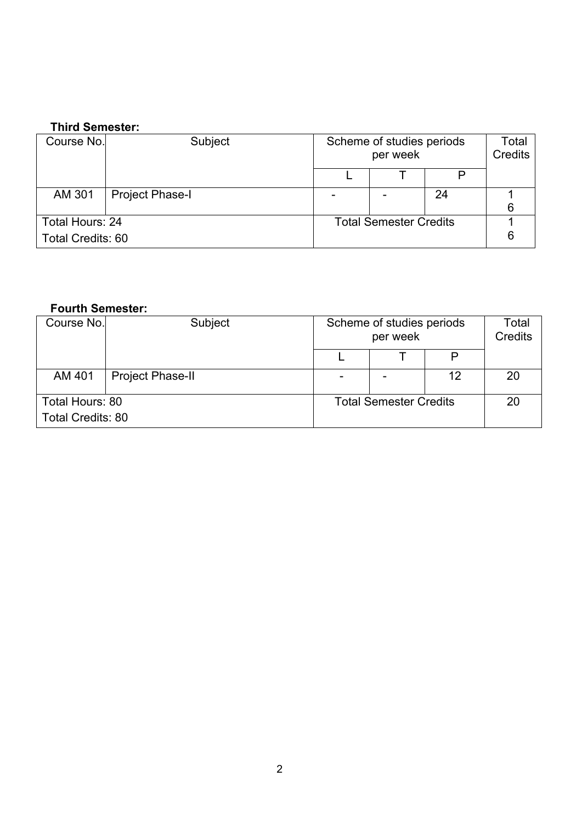## **Third Semester:**

| Course No.               | Subject                | Scheme of studies periods<br>per week |  |    | Total<br>Credits |
|--------------------------|------------------------|---------------------------------------|--|----|------------------|
|                          |                        |                                       |  |    |                  |
| AM 301                   | <b>Project Phase-I</b> |                                       |  | 24 |                  |
|                          |                        |                                       |  |    |                  |
| Total Hours: 24          |                        | <b>Total Semester Credits</b>         |  |    |                  |
| <b>Total Credits: 60</b> |                        |                                       |  |    |                  |

### **Fourth Semester:**

| Course No.               | Subject                 |                               | Scheme of studies periods<br>per week |    | Total<br><b>Credits</b> |
|--------------------------|-------------------------|-------------------------------|---------------------------------------|----|-------------------------|
|                          |                         |                               |                                       |    |                         |
| AM 401                   | <b>Project Phase-II</b> |                               |                                       | 12 | 20                      |
| Total Hours: 80          |                         | <b>Total Semester Credits</b> |                                       |    | 20                      |
| <b>Total Credits: 80</b> |                         |                               |                                       |    |                         |